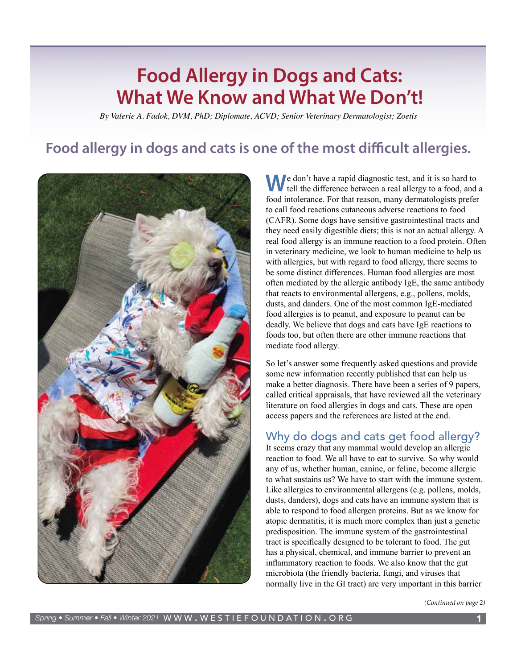# **Food Allergy in Dogs and Cats: What We Know and What We Don't!**

*By Valerie A. Fadok, DVM, PhD; Diplomate, ACVD; Senior Veterinary Dermatologist; Zoetis*

## **Food allergy in dogs and cats is one of the most difficult allergies.**



**W**e don't have a rapid diagnostic test, and it is so hard to If tell the difference between a real allergy to a food, and a food intolerance. For that reason, many dermatologists prefer to call food reactions cutaneous adverse reactions to food (CAFR). Some dogs have sensitive gastrointestinal tracts and they need easily digestible diets; this is not an actual allergy. A real food allergy is an immune reaction to a food protein. Often in veterinary medicine, we look to human medicine to help us with allergies, but with regard to food allergy, there seems to be some distinct differences. Human food allergies are most often mediated by the allergic antibody IgE, the same antibody that reacts to environmental allergens, e.g., pollens, molds, dusts, and danders. One of the most common IgE-mediated food allergies is to peanut, and exposure to peanut can be deadly. We believe that dogs and cats have IgE reactions to foods too, but often there are other immune reactions that mediate food allergy.

So let's answer some frequently asked questions and provide some new information recently published that can help us make a better diagnosis. There have been a series of 9 papers, called critical appraisals, that have reviewed all the veterinary literature on food allergies in dogs and cats. These are open access papers and the references are listed at the end.

### Why do dogs and cats get food allergy?

It seems crazy that any mammal would develop an allergic reaction to food. We all have to eat to survive. So why would any of us, whether human, canine, or feline, become allergic to what sustains us? We have to start with the immune system. Like allergies to environmental allergens (e.g. pollens, molds, dusts, danders), dogs and cats have an immune system that is able to respond to food allergen proteins. But as we know for atopic dermatitis, it is much more complex than just a genetic predisposition. The immune system of the gastrointestinal tract is specifically designed to be tolerant to food. The gut has a physical, chemical, and immune barrier to prevent an inflammatory reaction to foods. We also know that the gut microbiota (the friendly bacteria, fungi, and viruses that normally live in the GI tract) are very important in this barrier

*(Continued on page 2)*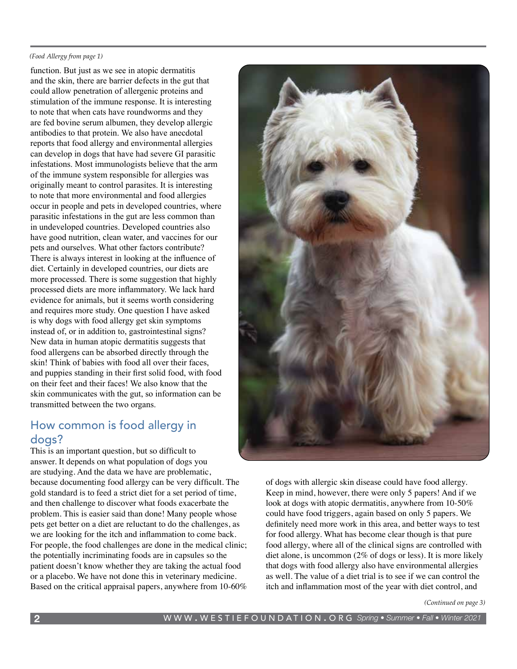#### *(Food Allergy from page 1)*

function. But just as we see in atopic dermatitis and the skin, there are barrier defects in the gut that could allow penetration of allergenic proteins and stimulation of the immune response. It is interesting to note that when cats have roundworms and they are fed bovine serum albumen, they develop allergic antibodies to that protein. We also have anecdotal reports that food allergy and environmental allergies can develop in dogs that have had severe GI parasitic infestations. Most immunologists believe that the arm of the immune system responsible for allergies was originally meant to control parasites. It is interesting to note that more environmental and food allergies occur in people and pets in developed countries, where parasitic infestations in the gut are less common than in undeveloped countries. Developed countries also have good nutrition, clean water, and vaccines for our pets and ourselves. What other factors contribute? There is always interest in looking at the influence of diet. Certainly in developed countries, our diets are more processed. There is some suggestion that highly processed diets are more inflammatory. We lack hard evidence for animals, but it seems worth considering and requires more study. One question I have asked is why dogs with food allergy get skin symptoms instead of, or in addition to, gastrointestinal signs? New data in human atopic dermatitis suggests that food allergens can be absorbed directly through the skin! Think of babies with food all over their faces, and puppies standing in their first solid food, with food on their feet and their faces! We also know that the skin communicates with the gut, so information can be transmitted between the two organs.

### How common is food allergy in dogs?

This is an important question, but so difficult to answer. It depends on what population of dogs you are studying. And the data we have are problematic, because documenting food allergy can be very difficult. The gold standard is to feed a strict diet for a set period of time, and then challenge to discover what foods exacerbate the problem. This is easier said than done! Many people whose pets get better on a diet are reluctant to do the challenges, as we are looking for the itch and inflammation to come back. For people, the food challenges are done in the medical clinic; the potentially incriminating foods are in capsules so the patient doesn't know whether they are taking the actual food or a placebo. We have not done this in veterinary medicine. Based on the critical appraisal papers, anywhere from 10-60%



of dogs with allergic skin disease could have food allergy. Keep in mind, however, there were only 5 papers! And if we look at dogs with atopic dermatitis, anywhere from 10-50% could have food triggers, again based on only 5 papers. We definitely need more work in this area, and better ways to test for food allergy. What has become clear though is that pure food allergy, where all of the clinical signs are controlled with diet alone, is uncommon (2% of dogs or less). It is more likely that dogs with food allergy also have environmental allergies as well. The value of a diet trial is to see if we can control the itch and inflammation most of the year with diet control, and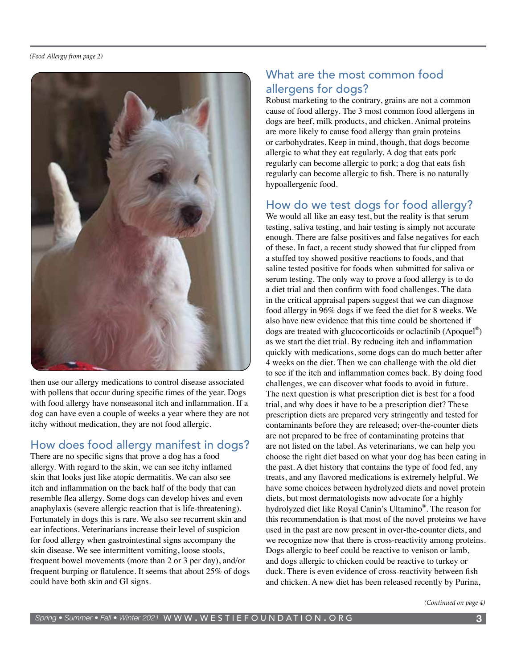

then use our allergy medications to control disease associated with pollens that occur during specific times of the year. Dogs with food allergy have nonseasonal itch and inflammation. If a dog can have even a couple of weeks a year where they are not itchy without medication, they are not food allergic.

### How does food allergy manifest in dogs?

There are no specific signs that prove a dog has a food allergy. With regard to the skin, we can see itchy inflamed skin that looks just like atopic dermatitis. We can also see itch and inflammation on the back half of the body that can resemble flea allergy. Some dogs can develop hives and even anaphylaxis (severe allergic reaction that is life-threatening). Fortunately in dogs this is rare. We also see recurrent skin and ear infections. Veterinarians increase their level of suspicion for food allergy when gastrointestinal signs accompany the skin disease. We see intermittent vomiting, loose stools, frequent bowel movements (more than 2 or 3 per day), and/or frequent burping or flatulence. It seems that about 25% of dogs could have both skin and GI signs.

### What are the most common food allergens for dogs?

Robust marketing to the contrary, grains are not a common cause of food allergy. The 3 most common food allergens in dogs are beef, milk products, and chicken. Animal proteins are more likely to cause food allergy than grain proteins or carbohydrates. Keep in mind, though, that dogs become allergic to what they eat regularly. A dog that eats pork regularly can become allergic to pork; a dog that eats fish regularly can become allergic to fish. There is no naturally hypoallergenic food.

### How do we test dogs for food allergy?

We would all like an easy test, but the reality is that serum testing, saliva testing, and hair testing is simply not accurate enough. There are false positives and false negatives for each of these. In fact, a recent study showed that fur clipped from a stuffed toy showed positive reactions to foods, and that saline tested positive for foods when submitted for saliva or serum testing. The only way to prove a food allergy is to do a diet trial and then confirm with food challenges. The data in the critical appraisal papers suggest that we can diagnose food allergy in 96% dogs if we feed the diet for 8 weeks. We also have new evidence that this time could be shortened if dogs are treated with glucocorticoids or oclactinib (Apoquel®) as we start the diet trial. By reducing itch and inflammation quickly with medications, some dogs can do much better after 4 weeks on the diet. Then we can challenge with the old diet to see if the itch and inflammation comes back. By doing food challenges, we can discover what foods to avoid in future. The next question is what prescription diet is best for a food trial, and why does it have to be a prescription diet? These prescription diets are prepared very stringently and tested for contaminants before they are released; over-the-counter diets are not prepared to be free of contaminating proteins that are not listed on the label. As veterinarians, we can help you choose the right diet based on what your dog has been eating in the past. A diet history that contains the type of food fed, any treats, and any flavored medications is extremely helpful. We have some choices between hydrolyzed diets and novel protein diets, but most dermatologists now advocate for a highly hydrolyzed diet like Royal Canin's Ultamino®. The reason for this recommendation is that most of the novel proteins we have used in the past are now present in over-the-counter diets, and we recognize now that there is cross-reactivity among proteins. Dogs allergic to beef could be reactive to venison or lamb, and dogs allergic to chicken could be reactive to turkey or duck. There is even evidence of cross-reactivity between fish and chicken. A new diet has been released recently by Purina,

*(Continued on page 4)*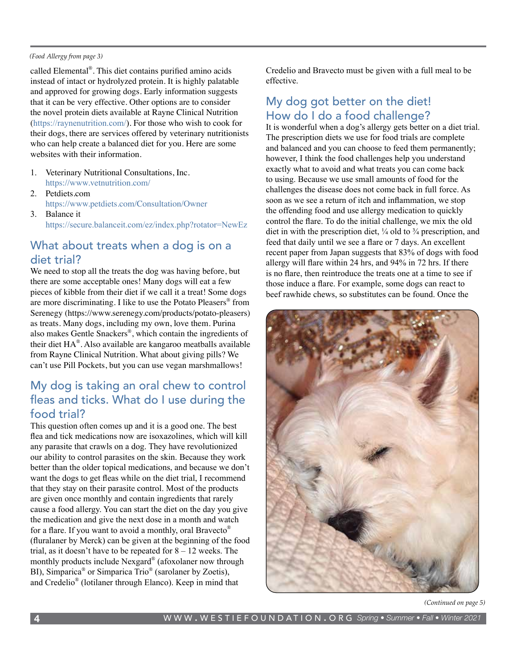#### *(Food Allergy from page 3)*

called Elemental®. This diet contains purified amino acids instead of intact or hydrolyzed protein. It is highly palatable and approved for growing dogs. Early information suggests that it can be very effective. Other options are to consider the novel protein diets available at Rayne Clinical Nutrition ([https://raynenutrition.com/\)](https://raynenutrition.com/). For those who wish to cook for their dogs, there are services offered by veterinary nutritionists who can help create a balanced diet for you. Here are some websites with their information.

- 1. Veterinary Nutritional Consultations, Inc. <https://www.vetnutrition.com/>
- 2. Petdiets.com <https://www.petdiets.com/Consultation/Owner>
- 3. Balance it <https://secure.balanceit.com/ez/index.php?rotator=NewEz>

### What about treats when a dog is on a diet trial?

We need to stop all the treats the dog was having before, but there are some acceptable ones! Many dogs will eat a few pieces of kibble from their diet if we call it a treat! Some dogs are more discriminating. I like to use the Potato Pleasers® from Serenegy [\(https://www.serenegy.com/products/potato-pleasers\)](https://www.serenegy.com/products/potato-pleasers) as treats. Many dogs, including my own, love them. Purina also makes Gentle Snackers®, which contain the ingredients of their diet HA®. Also available are kangaroo meatballs available from Rayne Clinical Nutrition. What about giving pills? We can't use Pill Pockets, but you can use vegan marshmallows!

### My dog is taking an oral chew to control fleas and ticks. What do I use during the food trial?

This question often comes up and it is a good one. The best flea and tick medications now are isoxazolines, which will kill any parasite that crawls on a dog. They have revolutionized our ability to control parasites on the skin. Because they work better than the older topical medications, and because we don't want the dogs to get fleas while on the diet trial, I recommend that they stay on their parasite control. Most of the products are given once monthly and contain ingredients that rarely cause a food allergy. You can start the diet on the day you give the medication and give the next dose in a month and watch for a flare. If you want to avoid a monthly, oral Bravecto® (fluralaner by Merck) can be given at the beginning of the food trial, as it doesn't have to be repeated for  $8 - 12$  weeks. The monthly products include Nexgard® (afoxolaner now through BI), Simparica<sup>®</sup> or Simparica Trio<sup>®</sup> (sarolaner by Zoetis), and Credelio® (lotilaner through Elanco). Keep in mind that

Credelio and Bravecto must be given with a full meal to be effective.

### My dog got better on the diet! How do I do a food challenge?

It is wonderful when a dog's allergy gets better on a diet trial. The prescription diets we use for food trials are complete and balanced and you can choose to feed them permanently; however, I think the food challenges help you understand exactly what to avoid and what treats you can come back to using. Because we use small amounts of food for the challenges the disease does not come back in full force. As soon as we see a return of itch and inflammation, we stop the offending food and use allergy medication to quickly control the flare. To do the initial challenge, we mix the old diet in with the prescription diet, ¼ old to ¾ prescription, and feed that daily until we see a flare or 7 days. An excellent recent paper from Japan suggests that 83% of dogs with food allergy will flare within 24 hrs, and 94% in 72 hrs. If there is no flare, then reintroduce the treats one at a time to see if those induce a flare. For example, some dogs can react to beef rawhide chews, so substitutes can be found. Once the



*(Continued on page 5)*